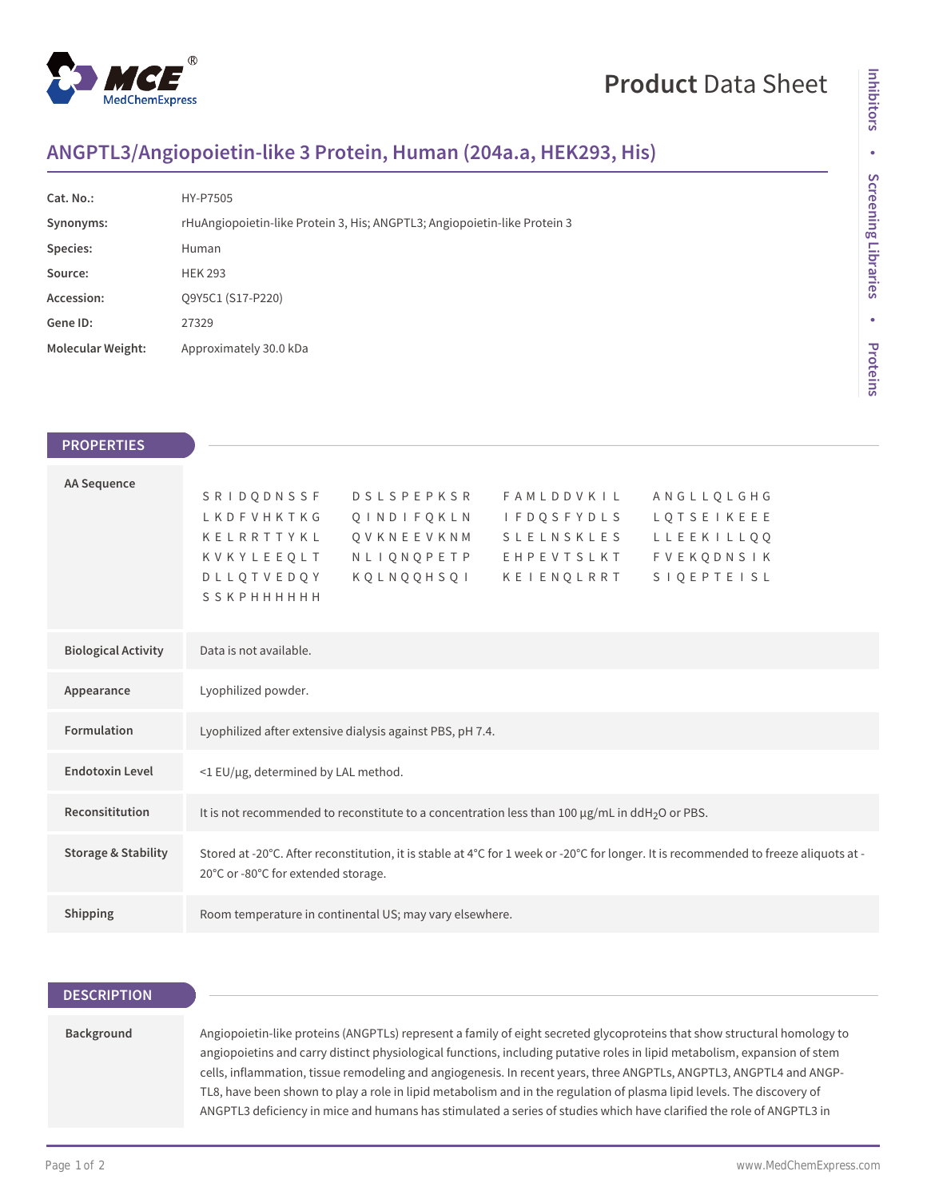

# **Product** Data Sheet

## **ANGPTL3/Angiopoietin-like 3 Protein, Human (204a.a, HEK293, His)**

| Cat. No.:                | HY-P7505                                                                  |
|--------------------------|---------------------------------------------------------------------------|
| Synonyms:                | rHuAngiopoietin-like Protein 3, His; ANGPTL3; Angiopoietin-like Protein 3 |
| Species:                 | Human                                                                     |
| Source:                  | <b>HEK 293</b>                                                            |
| Accession:               | O9Y5C1 (S17-P220)                                                         |
| Gene ID:                 | 27329                                                                     |
| <b>Molecular Weight:</b> | Approximately 30.0 kDa                                                    |

| <b>Inhibitors</b>   |
|---------------------|
| ۰                   |
| Screening Libraries |
| ۰                   |
| Proteins            |

 $\frac{1}{2}$ 

| <b>PROPERTIES</b>              |                                                                                                                                                                                                                                                                                                                                                              |
|--------------------------------|--------------------------------------------------------------------------------------------------------------------------------------------------------------------------------------------------------------------------------------------------------------------------------------------------------------------------------------------------------------|
|                                |                                                                                                                                                                                                                                                                                                                                                              |
| <b>AA Sequence</b>             | SRIDQDNSSF<br>D S L S P E P K S R<br>FAMLDDVKIL<br>ANGLLQLGHG<br>LKDFVHKTKG<br>LQTSEIKEEE<br>QINDIFQKLN<br>I F D Q S F Y D L S<br>Q V K N E E V K N M S L E L N S K L E S<br>KELRRTTYKL<br>LLEEKILL00<br>KVKYLEEQLT<br>NLIQNQPETP EHPEVTSLKT<br><b>FVEKQDNSIK</b><br>KOLNOOHSOI<br><b>SIQEPTEISL</b><br><b>DLLOTVEDOY</b><br>KEIENOLRRT<br><b>SSKPHHHHHH</b> |
| <b>Biological Activity</b>     | Data is not available.                                                                                                                                                                                                                                                                                                                                       |
| Appearance                     | Lyophilized powder.                                                                                                                                                                                                                                                                                                                                          |
| Formulation                    | Lyophilized after extensive dialysis against PBS, pH 7.4.                                                                                                                                                                                                                                                                                                    |
| <b>Endotoxin Level</b>         | <1 EU/µg, determined by LAL method.                                                                                                                                                                                                                                                                                                                          |
| Reconsititution                | It is not recommended to reconstitute to a concentration less than 100 µg/mL in ddH <sub>2</sub> O or PBS.                                                                                                                                                                                                                                                   |
| <b>Storage &amp; Stability</b> | Stored at -20°C. After reconstitution, it is stable at 4°C for 1 week or -20°C for longer. It is recommended to freeze aliquots at -<br>20°C or -80°C for extended storage.                                                                                                                                                                                  |
| Shipping                       | Room temperature in continental US; may vary elsewhere.                                                                                                                                                                                                                                                                                                      |
|                                |                                                                                                                                                                                                                                                                                                                                                              |

### **DESCRIPTION**

#### **Background**

Angiopoietin-like proteins (ANGPTLs) represent a family of eight secreted glycoproteins that show structural homology to angiopoietins and carry distinct physiological functions, including putative roles in lipid metabolism, expansion of stem cells, inflammation, tissue remodeling and angiogenesis. In recent years, three ANGPTLs, ANGPTL3, ANGPTL4 and ANGP-TL8, have been shown to play a role in lipid metabolism and in the regulation of plasma lipid levels. The discovery of ANGPTL3 deficiency in mice and humans has stimulated a series of studies which have clarified the role of ANGPTL3 in